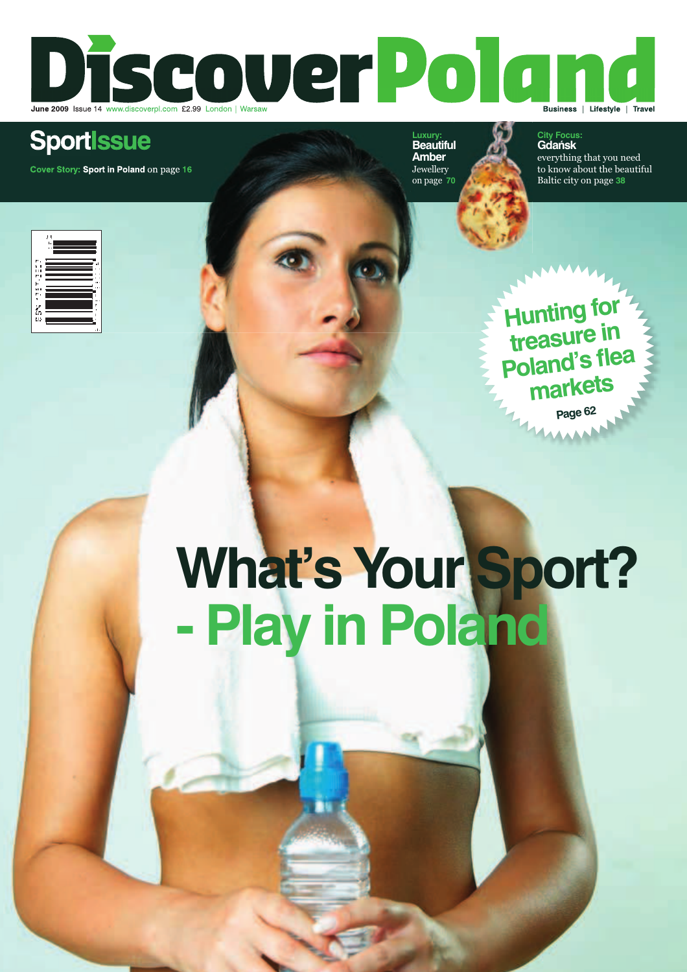

# **SportIssue**

**Cover Story: Sport in Poland** on page **16**

**Luxury: Beautiful Amber** Jewellery on page **70**

**City Focus: Gdańsk** 

everything that you need to know about the beautiful Baltic city on page **38**



**What's Your Sport? - Play in Poland**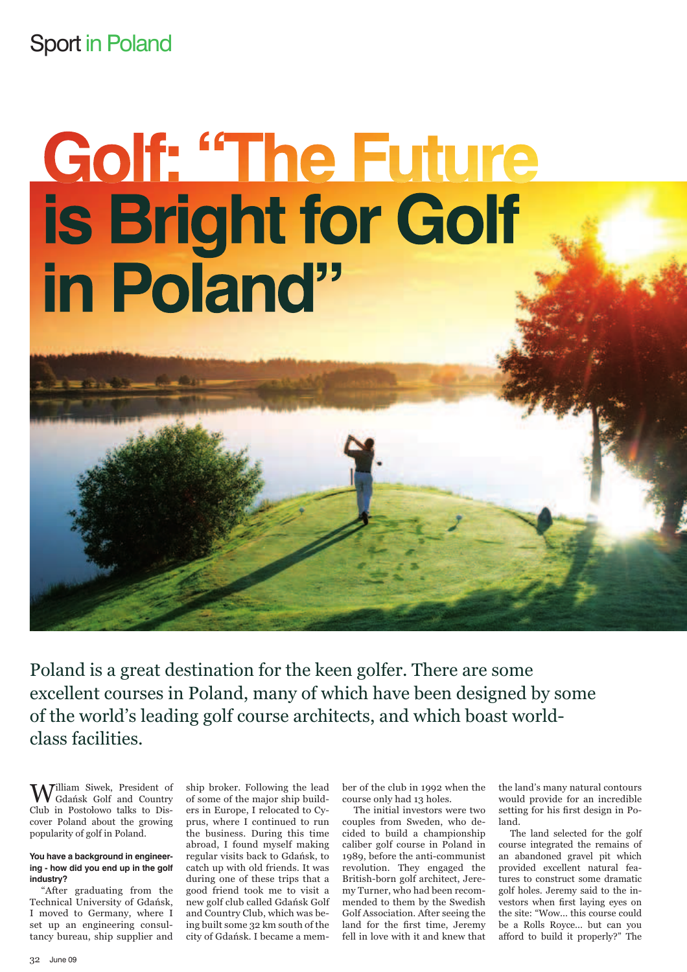### Sport in Poland

# Golf: "The Future is Bright for Golf in Poland"

Poland is a great destination for the keen golfer. There are some excellent courses in Poland, many of which have been designed by some of the world's leading golf course architects, and which boast worldclass facilities.

William Siwek, President of Gdańsk Golf and Country Club in Postołowo talks to Discover Poland about the growing popularity of golf in Poland.

#### **You have a background in engineering - how did you end up in the golf industry?**

"After graduating from the Technical University of Gdańsk, I moved to Germany, where I set up an engineering consultancy bureau, ship supplier and ship broker. Following the lead of some of the major ship builders in Europe, I relocated to Cyprus, where I continued to run the business. During this time abroad, I found myself making regular visits back to Gdańsk, to catch up with old friends. It was during one of these trips that a good friend took me to visit a new golf club called Gdańsk Golf and Country Club, which was being built some 32 km south of the city of Gdańsk. I became a member of the club in 1992 when the course only had 13 holes.

The initial investors were two couples from Sweden, who decided to build a championship caliber golf course in Poland in 1989, before the anti-communist revolution. They engaged the British-born golf architect, Jeremy Turner, who had been recommended to them by the Swedish Golf Association. After seeing the land for the first time, Jeremy fell in love with it and knew that the land's many natural contours would provide for an incredible setting for his first design in Poland.

The land selected for the golf course integrated the remains of an abandoned gravel pit which provided excellent natural features to construct some dramatic golf holes. Jeremy said to the investors when first laying eyes on the site: "Wow... this course could be a Rolls Royce... but can you afford to build it properly?" The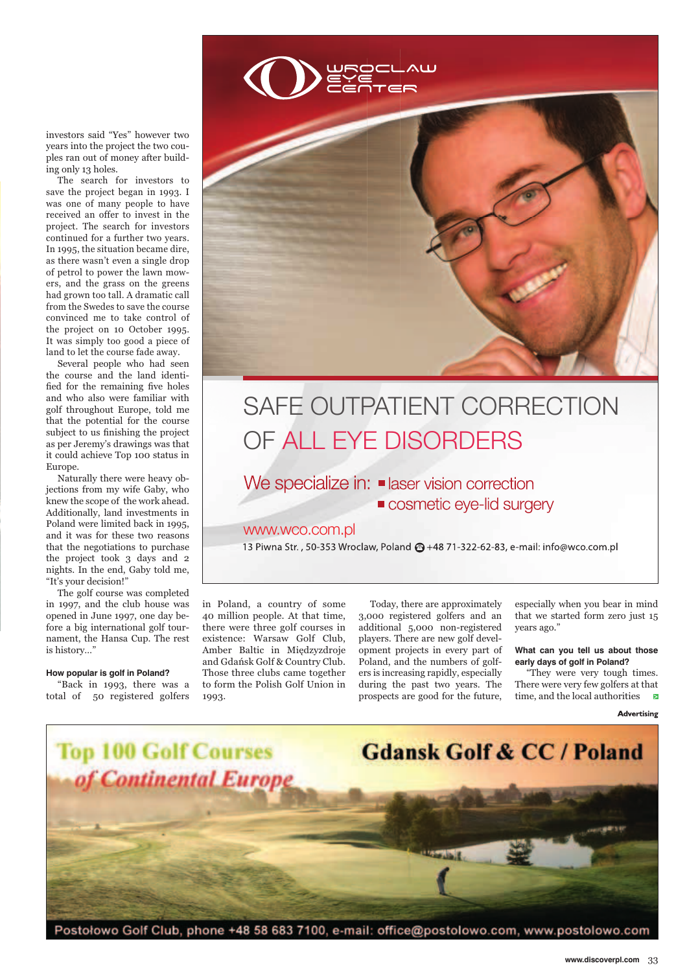investors said "Yes" however two years into the project the two couples ran out of money after building only 13 holes.

The search for investors to save the project began in 1993. I was one of many people to have received an offer to invest in the project. The search for investors continued for a further two years. In 1995, the situation became dire, as there wasn't even a single drop of petrol to power the lawn mowers, and the grass on the greens had grown too tall. A dramatic call from the Swedes to save the course convinced me to take control of the project on 10 October 1995. It was simply too good a piece of land to let the course fade away.

Several people who had seen the course and the land identified for the remaining five holes and who also were familiar with golf throughout Europe, told me that the potential for the course subject to us finishing the project as per Jeremy's drawings was that it could achieve Top 100 status in Europe.

Naturally there were heavy objections from my wife Gaby, who knew the scope of the work ahead. Additionally, land investments in Poland were limited back in 1995, and it was for these two reasons that the negotiations to purchase the project took 3 days and 2 nights. In the end, Gaby told me, "It's your decision!"

The golf course was completed in 1997, and the club house was opened in June 1997, one day before a big international golf tournament, the Hansa Cup. The rest is history…"

#### **How popular is golf in Poland?**

"Back in 1993, there was a total of 50 registered golfers



# SAFE OUTPATIENT CORRECTION SAFE OUTPATIENT CORRECTIONOF ALL EYE DISORDERS

### We specialize in: **E** laser vision correction

**COSmetic eye-lid surgery** 

### www.wco.com.pl

13 Piwna Str., 50-353 Wroclaw, Poland @ +48 71-322-62-83, e-mail: info@wco.com.pl

in Poland, a country of some 40 million people. At that time, there were three golf courses in existence: Warsaw Golf Club, Amber Baltic in Międzyzdroje and Gdańsk Golf & Country Club. Those three clubs came together to form the Polish Golf Union in 1993.

Today, there are approximately 3,000 registered golfers and an additional 5,000 non-registered players. There are new golf development projects in every part of Poland, and the numbers of golfers is increasing rapidly, especially during the past two years. The prospects are good for the future,

especially when you bear in mind that we started form zero just 15 years ago."

#### **What can you tell us about those early days of golf in Poland?**

"They were very tough times. There were very few golfers at that time, and the local authorities

Advertising



Postołowo Golf Club, phone +48 58 683 7100, e-mail: office@postolowo.com, www.postolowo.com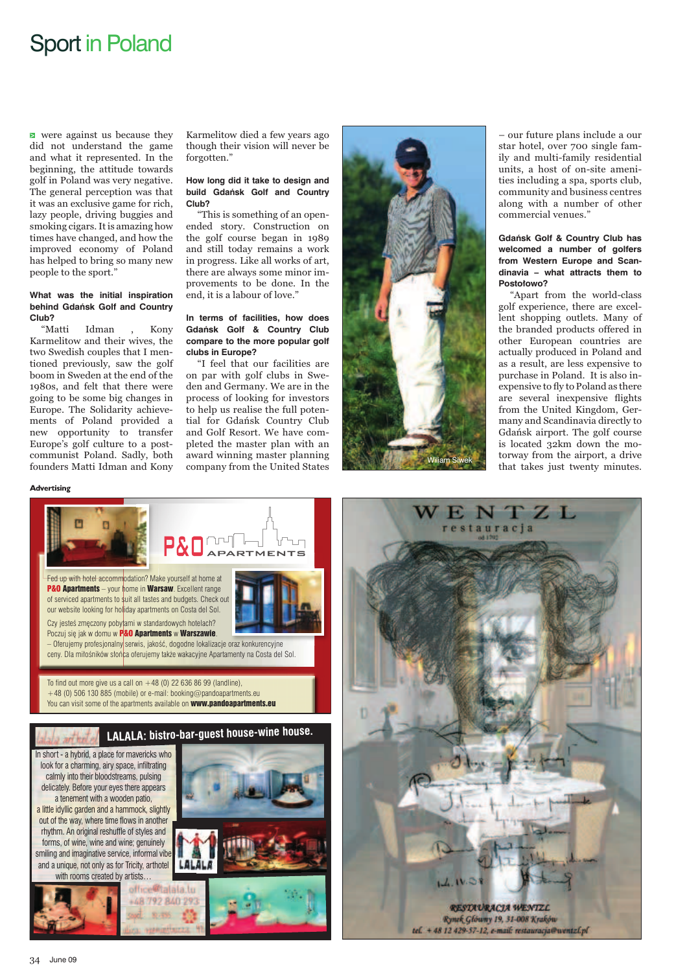### Sport in Poland

**E** were against us because they did not understand the game and what it represented. In the beginning, the attitude towards golf in Poland was very negative. The general perception was that it was an exclusive game for rich, lazy people, driving buggies and smoking cigars. It is amazing how times have changed, and how the improved economy of Poland has helped to bring so many new people to the sport.'

#### **What was the initial inspiration behind Gdańsk Golf and Country Club?**

"Matti Idman , Kony Karmelitow and their wives, the two Swedish couples that I mentioned previously, saw the golf boom in Sweden at the end of the 1980s, and felt that there were going to be some big changes in Europe. The Solidarity achievements of Poland provided a new opportunity to transfer Europe's golf culture to a postcommunist Poland. Sadly, both founders Matti Idman and Kony

Karmelitow died a few years ago though their vision will never be forgotten."

### **How long did it take to design and build Gdańsk Golf and Country Club?**

"This is something of an openended story. Construction on the golf course began in 1989 and still today remains a work in progress. Like all works of art, there are always some minor improvements to be done. In the end, it is a labour of love."

### **In terms of facilities, how does Gdańsk Golf & Country Club compare to the more popular golf clubs in Europe?**

"I feel that our facilities are on par with golf clubs in Sweden and Germany. We are in the process of looking for investors to help us realise the full potential for Gdańsk Country Club and Golf Resort. We have completed the master plan with an award winning master planning company from the United States



– our future plans include a our star hotel, over 700 single family and multi-family residential units, a host of on-site amenities including a spa, sports club, community and business centres along with a number of other commercial venues."

### **Gdańsk Golf & Country Club has welcomed a number of golfers from Western Europe and Scandinavia – what attracts them to Postołowo?**

"Apart from the world-class golf experience, there are excellent shopping outlets. Many of the branded products offered in other European countries are actually produced in Poland and as a result, are less expensive to purchase in Poland. It is also inexpensive to fly to Poland as there are several inexpensive flights from the United Kingdom, Germany and Scandinavia directly to Gdańsk airport. The golf course is located 32km down the motorway from the airport, a drive that takes just twenty minutes.

### Advertising